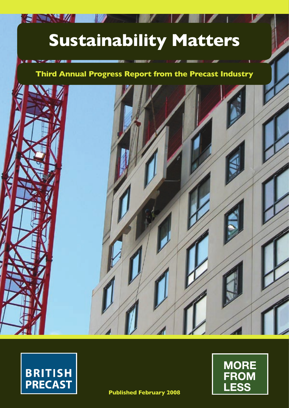# **Sustainability Matters**

## **Third Annual Progress Report from the Precast Industry**





**SALL** 

 $\mathbf{v}$  and



**Published February 2008**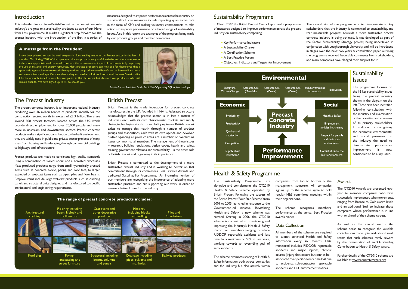#### **A message from the President**

I have been pleased to see the real progress in Sustainability made in the Precast sector in the last 12 months. Our Spring 2007 White paper consultation proved a very useful initiative and there now seems to be a real appreciation of the need to reduce the environmental impact of our products by improving the use of material and energy resources. Most precast producers can now see for themselves that a systematic approach to more sustainable operations can produce a real benefit on the bottom line - more and more clients and specifiers are demanding sustainable solutions. I commend the new Sustainability Charter not only to fellow member companies in British Precast but also to those producers who still remain outside. We have signed up to it - so should you.



## Introduction

This is the third report from British Precast on the precast concrete industry's progress on sustainability, produced as part of our 'More from Less' programme. It marks a significant step forward for the precast industry with the introduction of the first in a series of

Precast products are made to consistent high quality standards using a combination of skilled labour and automated processes. Mass produced products range from small hydraulically pressed items such as concrete blocks, paving and roof tiles, to larger extruded or wet-cast items such as pipes, piles and floor beams. Bespoke items include large wet-cast products such as cladding panels and structural units designed and manufactured to specific architectural and engineering requirements.

measures designed to improve performance across the industry on sustainability. Those measures include reporting quantitative data in the form of KPI's and making voluntary commitments to take actions to improve performance on a broad range of sustainability issues. Also in this report are examples of the progress being made by our product groups and member companies.

## The Precast Industry

The precast concrete industry is an important national industry producing over 36 million tonnes of products annually for the construction sector, worth in excess of £2.3 billion. There are around 800 precast factories located across the UK, which provide direct employment for over 20,000 people and many more in upstream and downstream sectors. Precast concrete products make a significant contribution to the built environment; they are widely used in public and private sector projects of many sizes, from housing and landscaping, through commercial buildings to highways and infrastructure.

In March 2007, the British Precast Council approved a programme of measures designed to improve performance across the precast industry on sustainability, comprising: • Key Performance Indicators • A Sustainability Charter • A Certification Scheme • A Best Practice Forum The overall aim of the programme is to demonstrate to key stakeholders that the industry is committed to sustainability, and that measurable progress towards a more sustainable precast concrete industry is being achieved. It was developed as part of the Sector Sustainability Strategy project, being undertaken in conjunction with Loughborough University, and will be introduced stages over the next two years. A consultation paper outlining the programme received favourable comments from stakeholders, and many companies have pledged their support for it.

## **Sustainability** Issues

## British Precast

British Precast is the trade federation for precast concrete manufacturers in the UK. Founded in 1964, its federated structure acknowledges that the precast sector is, in fact, a matrix of industries, each with its own characteristic markets and supply chains, technologies, standards and lobbying issues. British Precast exists to manage this matrix through a number of product groups and associations, each with its own agenda and devolved budget. Spanning all product areas are a number of overarching issues common to all members. The management of these issues – research, building regulations, design codes, health and safety, training, government relations and sustainability – is the other role of British Precast and is growing in its importance.

British Precast is committed to the development of a more sustainable precast industry and is working to deliver on that commitment through its committees, Best Practice Awards and dedicated Sustainability Programme. An increasing number of our members are recognising the importance of adopting more sustainable practices and are supporting our work in order to ensure a better future for the industry.

## Sustainability Programme

|                                                      | w   |
|------------------------------------------------------|-----|
| • Key Performance Indicators                         | th  |
| • A Sustainability Charter                           | co  |
| • A Certification Scheme                             | in. |
| • A Best Practice Forum                              | th  |
| • Objectives, Indicators and Targets for Improvement | an  |



The programme focuses on the 16 key sustainability issues facing the precast industry shown in the diagram on the left. These have been identified following consultation with the industry and examination of the priorities and concerns of its primary stakeholders. In addition to recognising the economic, environmental and social pressures on the industry, the need to demonstrate performance improvement is now considered to be a key issue.

The Sustainability Programme sits alongside and complements the CT2010 Health & Safety Scheme operated by British Precast. Following the success of the British Precast 'Four Star Scheme' from 2001 to 2005, launched in response to the Government-led initiative, 'Revitalising Health and Safety', a new scheme was created. Starting in 2006, the CT2010 scheme is committed to maintaining and improving the Industry's Health & Safety Record with members pledging to reduce RIDDOR reportable accidents and lost time by a minimum of 50% in five years, working towards an overriding goal of zero accidents.



The scheme promotes sharing of Health & Safety information, both across companies and the industry, but also actively within companies, from top to bottom of the management structure. All companies signing up to the scheme agree to hold regular H&S committee meetings within their organisations.

The scheme recognises members' performance at the annual Best Practice awards dinner.

### Data Collection

All members of the scheme are required to submit statistical Health and Safety information every six months. Data monitored includes RIDDOR reportable accidents and major injuries, chronic injuries (injury that occurs but cannot be associated to a specific event), time lost due to accidents, sub-contractor reportable accidents and HSE enforcement notices.

#### Awards

The CT2010 Awards are presented each year to member companies who have successfully implemented scheme elements, ranging from Bronze to Gold award levels and an additional 'Seal' to indicate those companies whose performance is in line with or ahead of the scheme targets.

As well as the annual awards, the scheme seeks to recognise the valuable contributions made by individuals and small teams that such schemes rarely reward by the presentation of an 'Outstanding Contribution to Health & Safety' award.

Further details of the CT2010 scheme are available at www.concretetargets.org

## Health & Safety Programme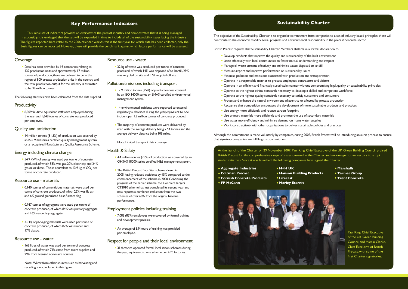#### Coverage

• Data has been provided by 19 companies relating to 132 production units and approximately 17 million tonnes of production; there are believed to be in the region of 800 precast production units in the country and the total production output for the industry is estimated to be 38 million tonnes.

• 8,309 full-time equivalent staff were employed during the year, and 1,648 tonnes of concrete was produced per employee.

The following statistics have been calculated from the data supplied.

#### **Productivity**

• 14 million tonnes (81.5%) of production was covered by an ISO 9000 series certified quality management system or a recognised Manufacturers Quality Assurance Scheme.

#### Quality and satisfaction

#### Energy including climate change

• 163 litres of water was used per tonne of concrete produced, of which 71% came from mains supplies and 29% from licensed non-mains sources.

• 54.9 kWh of energy was used per tonne of concrete produced, of which 53% was gas, 20% electricity, and 24% gas oil or diesel. This is equivalent to 13.9 kg of CO<sub>2</sub> per tonne of concrete produced.

#### Resource use - materials

- 12.9 million tonnes (75%) of production was covered by an ISO 14000 series or EMAS certified environmental management system.
- 14 environmental incidents were reported to external regulatory authorities during the year, equivalent to one incident per 1.2 million tonnes of concrete produced.
- The majority of concrete products were delivered by road with the average delivery being 27.4 tonnes and the average delivery distance being 108 miles.

- 0.140 tonnes of cementitious materials were used per tonne of concrete produced, of which 22% was fly ash and 6% ground granulated blast-furnace slag.
- 0.747 tonnes of aggregates were used per tonne of concrete produced, of which 84% was primary aggregate and 16% secondary aggregate.
- 3.0 kg of packaging materials were used per tonne of concrete produced, of which 82% was timber and 17% plastic.

#### Resource use - water

- 4.4 million tonnes (25%) of production was covered by an OHSHS 18000 series certified H&S management system.
- The British Precast Four Star scheme closed in 2005, having reduced accidents by 45% compared to the commencement of the scheme in 2000. Continuing the progress of the earlier scheme, the Concrete Targets CT2010 scheme has just completed its second year and now reports a combined reduction from the two schemes of over 60%, from the original baseline performance.

 Note: Water from other sources such as harvesting and recycling is not included in this figure.

• 31 factories operated formal local liaison schemes during the year, equivalent to one scheme per 4.25 factories.

#### Resource use - waste

• 32 kg of waste was produced per tonne of concrete produced, of which 14% was disposed of to landfill, 29% was recycled on site and 57% recycled off site.

#### Pollution/emissions including transport

Note: Limited transport data coverage.

#### Health & Safety

At the launch of the Charter on 29 November 2007, Paul King, Chief Executive of the UK Green Building Council, praised British Precast for the comprehensive range of issues covered in the Charter and encouraged other sectors to adopt similar initiatives. Since it was launched, the following companies have signed the Charter:

#### Employment policies including training

- 7,083 (85%) employees were covered by formal training and development policies.
- An average of 8.9 hours of training was provided per employee.

#### Respect for people and their local environment

The objective of the Sustainability Charter is to engender commitment from companies to a set of industry-based principles; these will contribute to the economic viability, social progress and environmental responsibility in the precast concrete sector.

British Precast requires that Sustainability Charter Members shall make a formal declaration to:

- Develop products that improve the quality and sustainability of the built environment
- Liaise effectively with local communities to foster mutual understanding and respect
- Manage all waste streams effectively and minimise waste disposed to landfill
- Measure, report and improve performance on sustainability issues
- Minimise pollution and emissions associated with production and transportation
- Operate in a responsible manner to protect employees, contractors and visitors
- Operate in an efficient and financially sustainable manner without compromising legal, quality or sustainability principles
- Operate to the highest ethical standards necessary to develop a skilled and competent workforce
- Operate to the highest quality standards necessary to satisfy customers and consumers
- Protect and enhance the natural environment adjacent to or affected by precast production
- Recognise that competition encourages the development of more sustainable products and practices
- Use energy more efficiently and reduce carbon footprint
- Use primary materials more efficiently and promote the use of secondary materials
- Use water more efficiently and minimise demand on mains water supplies
- Work constructively with other organisations to deliver sustainable policies and practices

Although the commitment is made voluntarily by companies, during 2008, British Precast will be introducing an audit process to ensure that signatory companies are fulfilling that commitment.

> Paul King, Chief Executive of the UK Green Building Council, and Martin Clarke, Chief Executive of British Precast, with some of the first Charter signatories.

• **Aggregate Industries**

• **FP McCann**

- **Coltman Precast**
- **Cornish Concrete Products** • **Litecast**
	- **Marley Eternit**

• **H+H UK**



• **Hanson Building Products**

- **Marshalls**
- **Tarmac Group**
- **Trent Concrete**

#### **Key Performance Indicators**

This initial set of indicators provides an overview of the precast industry, and demonstrates that it is being managed responsibly. It is envisaged that the set will be expanded in time to include all of the sustainability issues facing the industry. The figures reported here relate to the 2006 calendar year. As this is the first year for which data has been collected, only the basic figures can be reported. However, these will provide the benchmark against which future performance will be assessed.

#### **Sustainability Charter**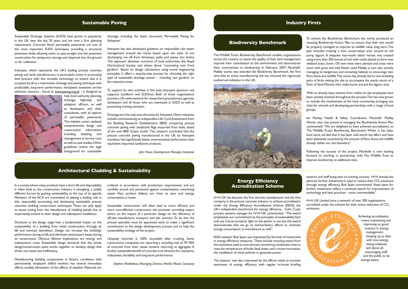### **Sustainable Paving Industry Firsts**

#### **Architectural Cladding & Sustainability**

Interpave, which represents the UK's leading precast concrete paving and kerb manufacturers, is particularly active in promoting best practice with this versatile technology to ensure that it is accepted by all as a mainstream drainage and paving technique with predictable, long-term performance. Interpave's extensive on-line technical resource - found at www.paving.org.uk - is designed to

Sustainable Drainage Systems (SUDS) have grown in popularity in the UK over the last 20 years and are now a firm planning requirement. Concrete block permeable pavements are one of the most important SUDS techniques, providing a structural pavement whilst allowing water to pass straight into the pavement construction for temporary storage and dispersal into the ground or for collection.

> help local authority planning, drainage, highways and adoption officers, as well as developers and their consultants, with all aspects of permeable pavements. The website covers updated comprehensive design and construction information, including detailing and management of service runs, as well as case studies. Other guidelines review the legal background for sustainable

drainage, including the latest document 'Permeable Paving for Adoption'.

Interpave has also developed guidance on responsible rain water management around the home based upon the edict of not discharging run off from driveways, paths and patios into drains. This approach alleviates concerns of local authorities, the Royal Horticultural Society and others about "concreting over front gardens". Based on design calculations using sound engineering principles, it offers a step-by-step process for choosing the right type of sustainable drainage system – including 'rain gardens' or bio-retention areas.

To support its own activities in this area, Interpave sponsors and supports Landform and SUDSnet. Both of these organisations provide a UK-wide network for researchers, practitioners, agencies, developers and all those who are interested in SUDS as well as presenting training seminars.

Drainage isn't the only area of activity for Interpave. Other initiatives include commissioning an independent Life Cycle Assessment from the Building Research Establishment (BRE) comparing precast concrete paving with sandstone flags imported from India, ahead of the new BRE 'Green Guide'. This research concluded that the precast concrete paving manufactured in the UK by Interpave members had significantly better environmental performance than equivalent imported sandstone products.

*John Howe, Development Manager, Interpave*

In a society where many products have a short life and disposability is often built in, the construction industry is ploughing a totally different furrow by putting sustainability at the top of its agenda. Members of the ACA are committed to playing a leading role in this, responsibly promoting and developing sustainable precast concrete cladding construction techniques. These not only apply to issues arising from the manufacture of cladding panels, but, as importantly, extend to their design and subsequent installation.

Decisions at the design stage have a fundamental impact on the sustainability of a building from initial construction, through its life and eventual demolition. Design can increase the building's performance during its life and eliminate unnecessary waste during its construction. Obvious lifetime implications are energy and maintenance costs. Sustainable design demands that the whole design/construction team works together to develop design that drives out waste and inefficiency.

Manufacturing building components in factory conditions with permanently employed skilled workers has several immediate effects, notably elimination of the effects of weather. Materials are

ordered in accordance with production requirements and are carefully stored and protected against contamination, minimising waste. Also, product defects are close to zero and energy consumption is lower.

Sustainable construction will often lead to more efficient and more cost-effective construction, the precaster providing expert advice on the impact of a particular design on the efficiency of off-site manufacture, transport and site erection. To do this, the precast specialist must be appointed early to make a significant contribution to the design development process and to help the sustainability strategy of the project.

Uniquely, concrete is 100% recyclable after crushing. Some construction companies are reporting a recycling rate of 70–90% of concrete from their waste streams returning as aggregate. A further sustainable benefit of concrete is its inherent fire resistance, robustness, durability and long-term performance.

*Stephen Maddalena, Managing Director, Marble Mosaic Company*

#### **Energy Efficiency Accreditation Scheme**

H+H UK has become the first aircrete manufacturer and the first company in the precast concrete industry to achieve accreditation under the Energy Efficiency Accreditation Scheme (EEAS), the UK's independent benchmark for energy efficiency. Colin Cook, process systems manager for H+H UK, commented: "The award emphasises our commitment to the principles of sustainability. Not only are Celcon products 'light on the planet' in use, but this award demonstrates that we go to extraordinary efforts to minimise energy consumption in manufacture as well".

EEAS assessor Bob Spain was impressed by the level of investment in energy efficiency measures. These include recycling steam from the autoclaves used to cure aircrete, recovering combustion heat to raise the temperature of boiler feed water and a recent innovation, the installation of wind turbines to generate power.

The assessor was also impressed by the efforts made to increase awareness of energy efficiency with regular in-house briefing sessions and staff being sent on training courses. H+H already has plans for further investment in ways to reduce their CO<sub>2</sub> emissions through energy efficiency, Bob Spain commented "these plans for further investment reflect a continual search for improvement of technology and best practices - most commendable".

H+H UK Limited joins a network of over 200 organisations accredited under the scheme for their active reduction of CO<sub>2</sub> emissions.

> Achieving accreditation meant maintaining and improving on good practice in energy management, keeping up to date with new energy saving initiatives and above all, encouraging staff and the public to be energy aware.

The Wildlife Trust's Biodiversity Benchmark enables organisations across the country to assess the quality of their land management, improve their contribution to the environment and demonstrate their commitment to biodiversity. In February 2007, Marshalls' Maltby works was awarded the Biodiversty Benchmark, the first time that an active manufacturing site has received the rigorously audited accreditation in the UK.



To achieve the Biodiversity Benchmark, the works produced an exacting Biodiversity Action Plan to ensure that their site would be properly managed to improve its wildlife value, long term. The plan included creating a new conservation area around its old pump lagoon. A bespoke man-made island retreat was created using more than 200 tonnes of soil, with reeds placed to form new wetland areas. Some 150 new trees were planted and areas were sown with grass and wild flower seed. Maltby is now also actively managing its hedgerows and remaining habitats to encourage new flora, fauna and wildlife. This action has already led to new breeding pairs of birds visiting the site to accompany the yearly return of a flock of Sand Martins who make home around the lagoon area.

With an already keen interest from within, its site employees have been actively involved throughout the process. This has now grown to include the involvement of the local community, arranging site visits for schools and developing partnerships with a range of local groups.

Ian Manley, Health & Safety Coordinator, Marshalls' Maltby Works, who was pivotal in managing the Biodiversity Action Plan commented: "We are delighted to have achieved accreditation to The Wildlife Trust's Biodiversity Benchmark. Whilst it has been hard work, we feel that it has been well worth the effort and have been pleasantly surprised by the amount of flora, fauna and wildlife already within our site boundary."

Following the success of the project, Marshalls is now looking forward to working in partnership with The Wildlife Trust to improve biodiversity at additional sites.

#### **Biodiversity Benchmark**